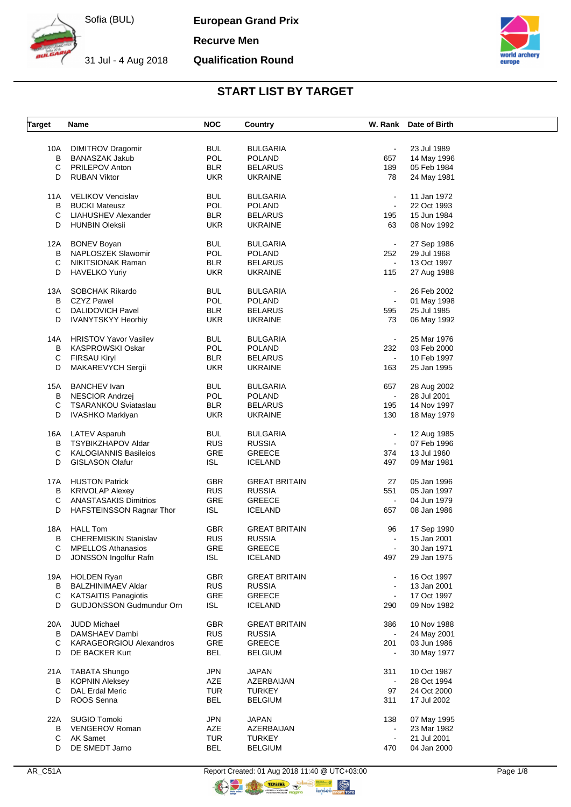**European Grand Prix**

**Recurve Men**

31 Jul - 4 Aug 2018 **Qualification Round**



# **START LIST BY TARGET**

| <b>Target</b> | Name                            | <b>NOC</b> | Country              |                | W. Rank Date of Birth |  |
|---------------|---------------------------------|------------|----------------------|----------------|-----------------------|--|
|               |                                 |            |                      |                |                       |  |
| 10A           | <b>DIMITROV Dragomir</b>        | <b>BUL</b> | <b>BULGARIA</b>      | $\blacksquare$ | 23 Jul 1989           |  |
| B             | <b>BANASZAK Jakub</b>           | POL        | <b>POLAND</b>        | 657            | 14 May 1996           |  |
| С             | <b>PRILEPOV Anton</b>           | <b>BLR</b> | <b>BELARUS</b>       | 189            | 05 Feb 1984           |  |
| D             | <b>RUBAN Viktor</b>             | UKR.       | <b>UKRAINE</b>       | 78             | 24 May 1981           |  |
| 11A           | <b>VELIKOV Vencislav</b>        | <b>BUL</b> | <b>BULGARIA</b>      | $\blacksquare$ | 11 Jan 1972           |  |
| В             | <b>BUCKI Mateusz</b>            | POL        | <b>POLAND</b>        | $\blacksquare$ | 22 Oct 1993           |  |
| С             | LIAHUSHEV Alexander             | <b>BLR</b> | <b>BELARUS</b>       | 195            | 15 Jun 1984           |  |
| D             | <b>HUNBIN Oleksii</b>           | UKR.       | <b>UKRAINE</b>       | 63             | 08 Nov 1992           |  |
|               |                                 |            |                      |                |                       |  |
| 12A           | <b>BONEV Boyan</b>              | <b>BUL</b> | <b>BULGARIA</b>      |                | 27 Sep 1986           |  |
| B             | NAPLOSZEK Slawomir              | POL        | <b>POLAND</b>        | 252            | 29 Jul 1968           |  |
| C             | NIKITSIONAK Raman               | <b>BLR</b> | <b>BELARUS</b>       |                | 13 Oct 1997           |  |
| D             | <b>HAVELKO Yuriy</b>            | <b>UKR</b> | <b>UKRAINE</b>       | 115            | 27 Aug 1988           |  |
| 13A           | <b>SOBCHAK Rikardo</b>          | <b>BUL</b> | <b>BULGARIA</b>      |                | 26 Feb 2002           |  |
| В             | <b>CZYZ Pawel</b>               | POL        | <b>POLAND</b>        | $\blacksquare$ | 01 May 1998           |  |
|               |                                 |            |                      |                |                       |  |
| C             | <b>DALIDOVICH Pavel</b>         | <b>BLR</b> | <b>BELARUS</b>       | 595            | 25 Jul 1985           |  |
| D             | <b>IVANYTSKYY Heorhiy</b>       | <b>UKR</b> | <b>UKRAINE</b>       | 73             | 06 May 1992           |  |
| 14A           | <b>HRISTOV Yavor Vasilev</b>    | <b>BUL</b> | <b>BULGARIA</b>      | $\blacksquare$ | 25 Mar 1976           |  |
| В             | <b>KASPROWSKI Oskar</b>         | POL        | <b>POLAND</b>        | 232            | 03 Feb 2000           |  |
| $\mathsf C$   | <b>FIRSAU Kiryl</b>             | <b>BLR</b> | <b>BELARUS</b>       |                | 10 Feb 1997           |  |
| D             | MAKAREVYCH Sergii               | <b>UKR</b> | <b>UKRAINE</b>       | 163            | 25 Jan 1995           |  |
|               |                                 |            |                      |                |                       |  |
| 15A           | <b>BANCHEV</b> Ivan             | <b>BUL</b> | <b>BULGARIA</b>      | 657            | 28 Aug 2002           |  |
| в             | <b>NESCIOR Andrzej</b>          | POL        | <b>POLAND</b>        | $\blacksquare$ | 28 Jul 2001           |  |
| С             | <b>TSARANKOU Sviataslau</b>     | <b>BLR</b> | <b>BELARUS</b>       | 195            | 14 Nov 1997           |  |
| D             | IVASHKO Markiyan                | <b>UKR</b> | <b>UKRAINE</b>       | 130            | 18 May 1979           |  |
|               |                                 |            |                      |                |                       |  |
| 16A           | LATEV Asparuh                   | <b>BUL</b> | <b>BULGARIA</b>      |                | 12 Aug 1985           |  |
| В             | TSYBIKZHAPOV Aldar              | <b>RUS</b> | <b>RUSSIA</b>        | $\blacksquare$ | 07 Feb 1996           |  |
| С             | <b>KALOGIANNIS Basileios</b>    | <b>GRE</b> | <b>GREECE</b>        | 374            | 13 Jul 1960           |  |
| D             | <b>GISLASON Olafur</b>          | <b>ISL</b> | <b>ICELAND</b>       | 497            | 09 Mar 1981           |  |
|               |                                 | <b>GBR</b> | <b>GREAT BRITAIN</b> |                |                       |  |
| 17A           | <b>HUSTON Patrick</b>           |            |                      | 27             | 05 Jan 1996           |  |
| В             | <b>KRIVOLAP Alexey</b>          | <b>RUS</b> | <b>RUSSIA</b>        | 551            | 05 Jan 1997           |  |
| C             | <b>ANASTASAKIS Dimitrios</b>    | <b>GRE</b> | <b>GREECE</b>        | $\blacksquare$ | 04 Jun 1979           |  |
| D             | <b>HAFSTEINSSON Ragnar Thor</b> | <b>ISL</b> | <b>ICELAND</b>       | 657            | 08 Jan 1986           |  |
| 18A           | <b>HALL Tom</b>                 | <b>GBR</b> | <b>GREAT BRITAIN</b> | 96             | 17 Sep 1990           |  |
| В             | <b>CHEREMISKIN Stanislav</b>    | <b>RUS</b> | <b>RUSSIA</b>        |                | 15 Jan 2001           |  |
| С             | MPELLOS Athanasios              | GRE        | <b>GREECE</b>        |                | 30 Jan 1971           |  |
| D             | JONSSON Ingolfur Rafn           | <b>ISL</b> | <b>ICELAND</b>       | 497            | 29 Jan 1975           |  |
|               |                                 |            |                      |                |                       |  |
| 19A           | <b>HOLDEN Ryan</b>              | <b>GBR</b> | <b>GREAT BRITAIN</b> |                | 16 Oct 1997           |  |
| В             | <b>BALZHINIMAEV Aldar</b>       | <b>RUS</b> | <b>RUSSIA</b>        |                | 13 Jan 2001           |  |
| C             | <b>KATSAITIS Panagiotis</b>     | GRE        | <b>GREECE</b>        |                | 17 Oct 1997           |  |
| D             | <b>GUDJONSSON Gudmundur Orn</b> | <b>ISL</b> | <b>ICELAND</b>       | 290            | 09 Nov 1982           |  |
|               |                                 |            |                      |                |                       |  |
| 20A           | <b>JUDD Michael</b>             | <b>GBR</b> | <b>GREAT BRITAIN</b> | 386            | 10 Nov 1988           |  |
| В             | DAMSHAEV Dambi                  | <b>RUS</b> | <b>RUSSIA</b>        |                | 24 May 2001           |  |
| С             | KARAGEORGIOU Alexandros         | <b>GRE</b> | GREECE               | 201            | 03 Jun 1986           |  |
| D             | DE BACKER Kurt                  | <b>BEL</b> | <b>BELGIUM</b>       |                | 30 May 1977           |  |
| 21A           | <b>TABATA Shungo</b>            | <b>JPN</b> | <b>JAPAN</b>         | 311            | 10 Oct 1987           |  |
| В             | <b>KOPNIN Aleksey</b>           | AZE        | AZERBAIJAN           |                | 28 Oct 1994           |  |
| C             | <b>DAL Erdal Meric</b>          | <b>TUR</b> | <b>TURKEY</b>        | 97             | 24 Oct 2000           |  |
|               |                                 |            |                      |                |                       |  |
| D             | ROOS Senna                      | <b>BEL</b> | <b>BELGIUM</b>       | 311            | 17 Jul 2002           |  |
| 22A           | SUGIO Tomoki                    | <b>JPN</b> | <b>JAPAN</b>         | 138            | 07 May 1995           |  |
| В             | VENGEROV Roman                  | AZE        | AZERBAIJAN           |                | 23 Mar 1982           |  |
| С             | <b>AK Samet</b>                 | <b>TUR</b> | <b>TURKEY</b>        |                | 21 Jul 2001           |  |
| D             | DE SMEDT Jarno                  | <b>BEL</b> | <b>BELGIUM</b>       | 470            | 04 Jan 2000           |  |
|               |                                 |            |                      |                |                       |  |

AR\_C51A Report Created: 01 Aug 2018 11:40 @ UTC+03:00 Page 1/8

**OR** 

 $\bigcirc$   $\bigcirc$   $\bigcirc$   $\bigcirc$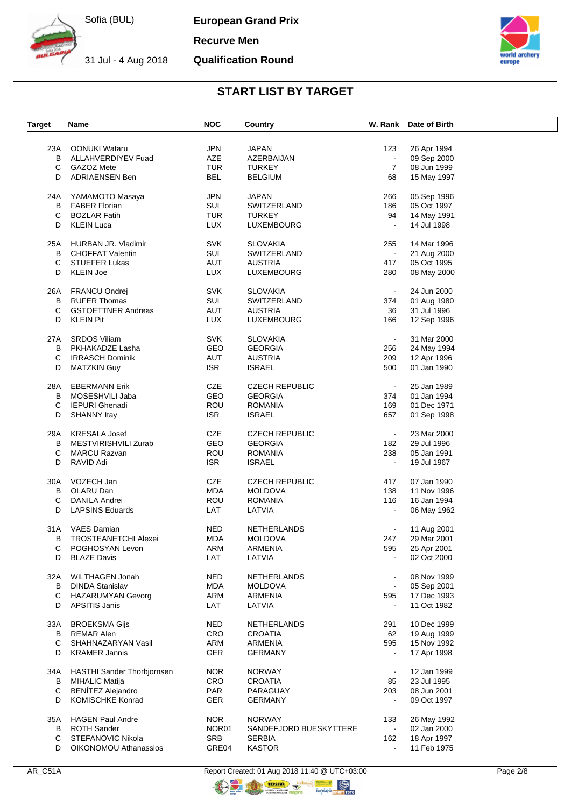**European Grand Prix**

**Recurve Men**

31 Jul - 4 Aug 2018 **Qualification Round**



#### **START LIST BY TARGET**

| <b>Target</b> | Name                         | <b>NOC</b> | Country                |                | W. Rank Date of Birth |  |
|---------------|------------------------------|------------|------------------------|----------------|-----------------------|--|
|               |                              |            |                        |                |                       |  |
| 23A           | <b>OONUKI Wataru</b>         | <b>JPN</b> | JAPAN                  | 123            | 26 Apr 1994           |  |
| В             | ALLAHVERDIYEV Fuad           | AZE        | AZERBAIJAN             |                | 09 Sep 2000           |  |
| С             | <b>GAZOZ Mete</b>            | <b>TUR</b> | <b>TURKEY</b>          | $\overline{7}$ | 08 Jun 1999           |  |
| D             | <b>ADRIAENSEN Ben</b>        | <b>BEL</b> | <b>BELGIUM</b>         | 68             | 15 May 1997           |  |
| 24A           | YAMAMOTO Masaya              | <b>JPN</b> | <b>JAPAN</b>           | 266            | 05 Sep 1996           |  |
| B             |                              |            |                        |                |                       |  |
|               | <b>FABER Florian</b>         | SUI        | SWITZERLAND            | 186            | 05 Oct 1997           |  |
| C             | <b>BOZLAR Fatih</b>          | <b>TUR</b> | <b>TURKEY</b>          | 94             | 14 May 1991           |  |
| D             | <b>KLEIN Luca</b>            | <b>LUX</b> | LUXEMBOURG             |                | 14 Jul 1998           |  |
| 25A           | HURBAN JR. Vladimir          | <b>SVK</b> | <b>SLOVAKIA</b>        | 255            | 14 Mar 1996           |  |
| В             | <b>CHOFFAT Valentin</b>      | SUI        | SWITZERLAND            | $\blacksquare$ | 21 Aug 2000           |  |
| С             | <b>STUEFER Lukas</b>         | AUT        | <b>AUSTRIA</b>         | 417            | 05 Oct 1995           |  |
| D             | <b>KLEIN Joe</b>             | <b>LUX</b> | LUXEMBOURG             | 280            | 08 May 2000           |  |
|               |                              |            |                        |                |                       |  |
| 26A           | FRANCU Ondrej                | <b>SVK</b> | <b>SLOVAKIA</b>        | $\blacksquare$ | 24 Jun 2000           |  |
| В             | <b>RUFER Thomas</b>          | SUI        | SWITZERLAND            | 374            | 01 Aug 1980           |  |
| С             | <b>GSTOETTNER Andreas</b>    | AUT        | <b>AUSTRIA</b>         | 36             | 31 Jul 1996           |  |
| D             | <b>KLEIN Pit</b>             | <b>LUX</b> | LUXEMBOURG             | 166            | 12 Sep 1996           |  |
|               |                              |            |                        |                |                       |  |
| 27A           | <b>SRDOS Viliam</b>          | <b>SVK</b> | <b>SLOVAKIA</b>        | $\sim$         | 31 Mar 2000           |  |
| в             | PKHAKADZE Lasha              | GEO        | <b>GEORGIA</b>         | 256            | 24 May 1994           |  |
| С             | <b>IRRASCH Dominik</b>       | AUT        | <b>AUSTRIA</b>         | 209            | 12 Apr 1996           |  |
| D             | <b>MATZKIN Guy</b>           | <b>ISR</b> | <b>ISRAEL</b>          | 500            | 01 Jan 1990           |  |
|               |                              |            |                        |                |                       |  |
| 28A           | <b>EBERMANN Erik</b>         | <b>CZE</b> | <b>CZECH REPUBLIC</b>  | $\blacksquare$ | 25 Jan 1989           |  |
| В             | MOSESHVILI Jaba              | GEO        | <b>GEORGIA</b>         | 374            | 01 Jan 1994           |  |
| С             | <b>IEPURI Ghenadi</b>        | ROU        | <b>ROMANIA</b>         | 169            | 01 Dec 1971           |  |
|               |                              |            |                        |                |                       |  |
| D             | <b>SHANNY Itay</b>           | <b>ISR</b> | <b>ISRAEL</b>          | 657            | 01 Sep 1998           |  |
| 29A           | <b>KRESALA Josef</b>         | <b>CZE</b> | <b>CZECH REPUBLIC</b>  | $\blacksquare$ | 23 Mar 2000           |  |
| В             | MESTVIRISHVILI Zurab         | GEO        | <b>GEORGIA</b>         | 182            | 29 Jul 1996           |  |
| С             | <b>MARCU Razvan</b>          | ROU        | <b>ROMANIA</b>         | 238            | 05 Jan 1991           |  |
| D             | RAVID Adi                    | <b>ISR</b> | <b>ISRAEL</b>          |                | 19 Jul 1967           |  |
|               |                              |            |                        |                |                       |  |
| 30A           | VOZECH Jan                   | <b>CZE</b> | <b>CZECH REPUBLIC</b>  | 417            | 07 Jan 1990           |  |
| В             | OLARU Dan                    | <b>MDA</b> | <b>MOLDOVA</b>         | 138            | 11 Nov 1996           |  |
| C             | DANILA Andrei                | <b>ROU</b> | <b>ROMANIA</b>         | 116            | 16 Jan 1994           |  |
| D             | <b>LAPSINS Eduards</b>       | LAT        | LATVIA                 | $\blacksquare$ | 06 May 1962           |  |
| 31A           | <b>VAES Damian</b>           | <b>NED</b> | NETHERLANDS            |                | 11 Aug 2001           |  |
| в             | <b>TROSTEANETCHI Alexei</b>  | <b>MDA</b> | <b>MOLDOVA</b>         | 247            | 29 Mar 2001           |  |
| С             | POGHOSYAN Levon              | ARM        | ARMENIA                | 595            | 25 Apr 2001           |  |
|               |                              |            |                        |                |                       |  |
| D             | <b>BLAZE Davis</b>           | LAT        | LATVIA                 |                | 02 Oct 2000           |  |
| 32A           | WILTHAGEN Jonah              | <b>NED</b> | NETHERLANDS            |                | 08 Nov 1999           |  |
| B             | <b>DINDA Stanislav</b>       | <b>MDA</b> | <b>MOLDOVA</b>         | $\blacksquare$ | 05 Sep 2001           |  |
| C             | <b>HAZARUMYAN Gevorg</b>     | ARM        | ARMENIA                | 595            | 17 Dec 1993           |  |
| D             | <b>APSITIS Janis</b>         | LAT        | LATVIA                 |                | 11 Oct 1982           |  |
|               |                              |            |                        |                |                       |  |
| 33A           | <b>BROEKSMA Gijs</b>         | <b>NED</b> | NETHERLANDS            | 291            | 10 Dec 1999           |  |
| B             | <b>REMAR Alen</b>            | CRO        | <b>CROATIA</b>         | 62             | 19 Aug 1999           |  |
| С             | SHAHNAZARYAN Vasil           | ARM        | ARMENIA                | 595            | 15 Nov 1992           |  |
| D             | <b>KRAMER Jannis</b>         | <b>GER</b> | <b>GERMANY</b>         |                | 17 Apr 1998           |  |
| 34A           | HASTHI Sander Thorbjornsen   | <b>NOR</b> | <b>NORWAY</b>          |                | 12 Jan 1999           |  |
|               |                              |            |                        |                |                       |  |
| В             | <b>MIHALIC Matija</b>        | CRO        | <b>CROATIA</b>         | 85             | 23 Jul 1995           |  |
| $\mathbf C$   | <b>BENÍTEZ Alejandro</b>     | <b>PAR</b> | PARAGUAY               | 203            | 08 Jun 2001           |  |
| D             | KOMISCHKE Konrad             | <b>GER</b> | <b>GERMANY</b>         |                | 09 Oct 1997           |  |
| 35A           | <b>HAGEN Paul Andre</b>      | NOR.       | <b>NORWAY</b>          | 133            | 26 May 1992           |  |
| В             | <b>ROTH Sander</b>           | NOR01      | SANDEFJORD BUESKYTTERE |                | 02 Jan 2000           |  |
| C             | STEFANOVIC Nikola            | <b>SRB</b> | <b>SERBIA</b>          | 162            | 18 Apr 1997           |  |
|               |                              |            |                        | $\blacksquare$ |                       |  |
| D             | <b>OIKONOMOU Athanassios</b> | GRE04      | <b>KASTOR</b>          |                | 11 Feb 1975           |  |

**ORIGINAL** 

C C THE THE R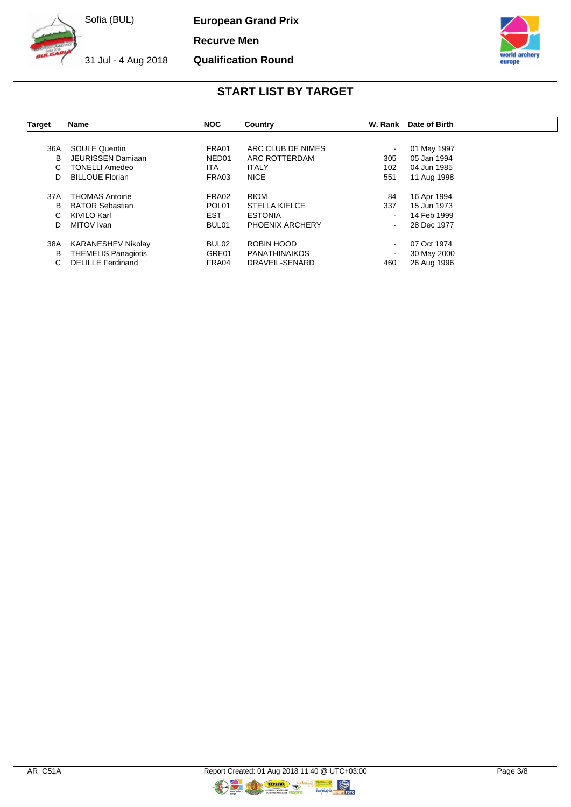31 Jul - 4 Aug 2018

**European Grand Prix**

**Recurve Men**

**Qualification Round**



## **START LIST BY TARGET**

| <b>Target</b> | <b>Name</b>                                             | <b>NOC</b>        | Country                            | W. Rank                  | Date of Birth              |
|---------------|---------------------------------------------------------|-------------------|------------------------------------|--------------------------|----------------------------|
|               |                                                         |                   |                                    |                          |                            |
| 36A           | <b>SOULE Quentin</b>                                    | FRA01             | ARC CLUB DE NIMES                  | $\overline{\phantom{a}}$ | 01 May 1997                |
| B             | <b>JEURISSEN Damiaan</b>                                | NED01             | ARC ROTTERDAM                      | 305                      | 05 Jan 1994                |
| С             | <b>TONELLI Amedeo</b>                                   | ITA.              | <b>ITALY</b>                       | 102                      | 04 Jun 1985                |
| D             | <b>BILLOUE Florian</b>                                  | FRA03             | <b>NICE</b>                        | 551                      | 11 Aug 1998                |
| 37A           | <b>THOMAS Antoine</b>                                   | FRA02             | <b>RIOM</b>                        | 84                       | 16 Apr 1994                |
| в             | <b>BATOR Sebastian</b>                                  | POL <sub>01</sub> | <b>STELLA KIELCE</b>               | 337                      | 15 Jun 1973                |
| С             | KIVILO Karl                                             | <b>EST</b>        | <b>ESTONIA</b>                     | $\sim$                   | 14 Feb 1999                |
| D             | MITOV Ivan                                              | BUL01             | <b>PHOENIX ARCHERY</b>             | $\sim$                   | 28 Dec 1977                |
| 38A<br>В      | <b>KARANESHEV Nikolay</b><br><b>THEMELIS Panagiotis</b> | BUL02<br>GRE01    | ROBIN HOOD<br><b>PANATHINAIKOS</b> | $\sim$                   | 07 Oct 1974<br>30 May 2000 |
| С             | <b>DELILLE Ferdinand</b>                                | FRA04             | DRAVEIL-SENARD                     | 460                      | 26 Aug 1996                |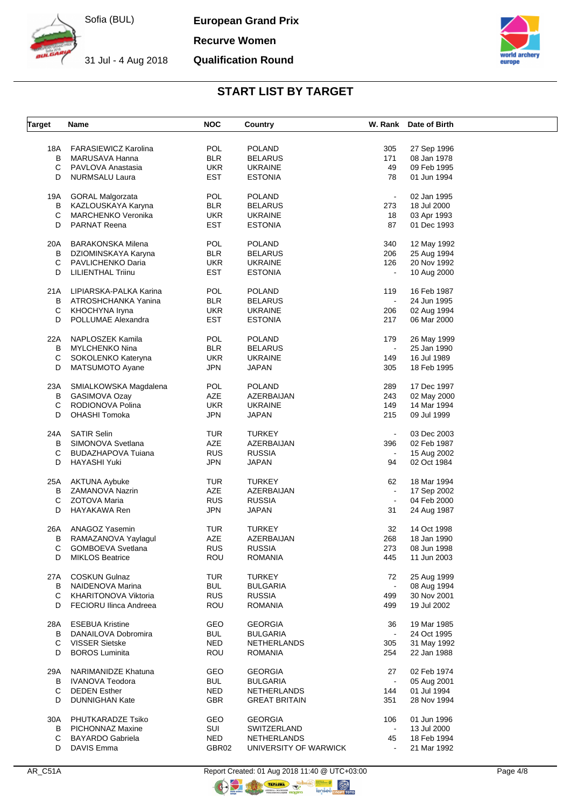**European Grand Prix**

**Recurve Women**

31 Jul - 4 Aug 2018 **Qualification Round**



## **START LIST BY TARGET**

| <b>Target</b> | Name                          | <b>NOC</b> | <b>Country</b>        |                | W. Rank Date of Birth |  |
|---------------|-------------------------------|------------|-----------------------|----------------|-----------------------|--|
|               |                               |            |                       |                |                       |  |
| 18A           | <b>FARASIEWICZ Karolina</b>   | POL        | <b>POLAND</b>         | 305            | 27 Sep 1996           |  |
| B             | MARUSAVA Hanna                | <b>BLR</b> | <b>BELARUS</b>        | 171            | 08 Jan 1978           |  |
| С             | PAVLOVA Anastasia             | <b>UKR</b> | <b>UKRAINE</b>        | 49             | 09 Feb 1995           |  |
| D             | <b>NURMSALU Laura</b>         | <b>EST</b> | <b>ESTONIA</b>        | 78             | 01 Jun 1994           |  |
|               |                               |            |                       |                |                       |  |
| 19A           | <b>GORAL Malgorzata</b>       | POL        | <b>POLAND</b>         | $\blacksquare$ | 02 Jan 1995           |  |
| B             | KAZLOUSKAYA Karyna            | <b>BLR</b> | <b>BELARUS</b>        | 273            | 18 Jul 2000           |  |
| С             | <b>MARCHENKO Veronika</b>     | <b>UKR</b> | <b>UKRAINE</b>        | 18             | 03 Apr 1993           |  |
| D             | <b>PARNAT Reena</b>           | <b>EST</b> | <b>ESTONIA</b>        | 87             | 01 Dec 1993           |  |
| 20A           | <b>BARAKONSKA Milena</b>      | POL        | <b>POLAND</b>         | 340            | 12 May 1992           |  |
|               |                               |            | <b>BELARUS</b>        |                |                       |  |
| B             | DZIOMINSKAYA Karyna           | <b>BLR</b> |                       | 206            | 25 Aug 1994           |  |
| С             | PAVLICHENKO Daria             | <b>UKR</b> | <b>UKRAINE</b>        | 126            | 20 Nov 1992           |  |
| D             | <b>LILIENTHAL Triinu</b>      | <b>EST</b> | <b>ESTONIA</b>        |                | 10 Aug 2000           |  |
| 21A           | LIPIARSKA-PALKA Karina        | <b>POL</b> | <b>POLAND</b>         | 119            | 16 Feb 1987           |  |
| В             | ATROSHCHANKA Yanina           | <b>BLR</b> | <b>BELARUS</b>        | $\blacksquare$ | 24 Jun 1995           |  |
| С             | KHOCHYNA Iryna                | <b>UKR</b> | <b>UKRAINE</b>        | 206            | 02 Aug 1994           |  |
| D             | POLLUMAE Alexandra            | <b>EST</b> | <b>ESTONIA</b>        | 217            | 06 Mar 2000           |  |
|               |                               |            |                       |                |                       |  |
| 22A           | NAPLOSZEK Kamila              | POL        | <b>POLAND</b>         | 179            | 26 May 1999           |  |
| в             | MYLCHENKO Nina                | <b>BLR</b> | <b>BELARUS</b>        | $\blacksquare$ | 25 Jan 1990           |  |
| С             | SOKOLENKO Kateryna            | <b>UKR</b> | <b>UKRAINE</b>        | 149            | 16 Jul 1989           |  |
| D             | MATSUMOTO Ayane               | <b>JPN</b> | JAPAN                 | 305            | 18 Feb 1995           |  |
|               |                               |            |                       |                |                       |  |
| 23A           | SMIALKOWSKA Magdalena         | <b>POL</b> | <b>POLAND</b>         | 289            | 17 Dec 1997           |  |
| В             | GASIMOVA Ozay                 | AZE        | AZERBAIJAN            | 243            | 02 May 2000           |  |
| С             | RODIONOVA Polina              | <b>UKR</b> | <b>UKRAINE</b>        | 149            | 14 Mar 1994           |  |
| D             | <b>OHASHI Tomoka</b>          | <b>JPN</b> | JAPAN                 | 215            | 09 Jul 1999           |  |
|               |                               |            |                       |                |                       |  |
| 24A           | <b>SATIR Selin</b>            | TUR        | <b>TURKEY</b>         | $\blacksquare$ | 03 Dec 2003           |  |
| В             | SIMONOVA Svetlana             | AZE        | AZERBAIJAN            | 396            | 02 Feb 1987           |  |
| С             | <b>BUDAZHAPOVA Tuiana</b>     | <b>RUS</b> | <b>RUSSIA</b>         | $\blacksquare$ | 15 Aug 2002           |  |
| D             | HAYASHI Yuki                  | <b>JPN</b> | JAPAN                 | 94             | 02 Oct 1984           |  |
| 25A           |                               | <b>TUR</b> | <b>TURKEY</b>         | 62             | 18 Mar 1994           |  |
|               | <b>AKTUNA Aybuke</b>          |            |                       |                |                       |  |
| В             | ZAMANOVA Nazrin               | AZE        | AZERBAIJAN            |                | 17 Sep 2002           |  |
| С             | ZOTOVA Maria                  | <b>RUS</b> | <b>RUSSIA</b>         |                | 04 Feb 2000           |  |
| D             | HAYAKAWA Ren                  | <b>JPN</b> | JAPAN                 | 31             | 24 Aug 1987           |  |
| 26A           | ANAGOZ Yasemin                | TUR.       | <b>TURKEY</b>         | 32             | 14 Oct 1998           |  |
| В             | RAMAZANOVA Yaylagul           | AZE        | AZERBAIJAN            | 268            | 18 Jan 1990           |  |
| С             | <b>GOMBOEVA Svetlana</b>      | <b>RUS</b> | <b>RUSSIA</b>         | 273            | 08 Jun 1998           |  |
| D             | <b>MIKLOS Beatrice</b>        | <b>ROU</b> | <b>ROMANIA</b>        | 445            | 11 Jun 2003           |  |
|               |                               |            |                       |                |                       |  |
| 27A           | <b>COSKUN Gulnaz</b>          | TUR        | <b>TURKEY</b>         | 72             | 25 Aug 1999           |  |
| B             | NAIDENOVA Marina              | <b>BUL</b> | <b>BULGARIA</b>       |                | 08 Aug 1994           |  |
| С             | KHARITONOVA Viktoria          | <b>RUS</b> | <b>RUSSIA</b>         | 499            | 30 Nov 2001           |  |
| D             | <b>FECIORU Ilinca Andreea</b> | <b>ROU</b> | <b>ROMANIA</b>        | 499            | 19 Jul 2002           |  |
|               |                               |            |                       |                |                       |  |
| 28A           | <b>ESEBUA Kristine</b>        | GEO        | <b>GEORGIA</b>        | 36             | 19 Mar 1985           |  |
| В             | DANAILOVA Dobromira           | <b>BUL</b> | <b>BULGARIA</b>       | $\blacksquare$ | 24 Oct 1995           |  |
| C             | <b>VISSER Sietske</b>         | <b>NED</b> | <b>NETHERLANDS</b>    | 305            | 31 May 1992           |  |
| D             | <b>BOROS Luminita</b>         | <b>ROU</b> | <b>ROMANIA</b>        | 254            | 22 Jan 1988           |  |
| 29A           | NARIMANIDZE Khatuna           | GEO        | <b>GEORGIA</b>        | 27             | 02 Feb 1974           |  |
| В             | <b>IVANOVA Teodora</b>        | <b>BUL</b> | <b>BULGARIA</b>       |                | 05 Aug 2001           |  |
|               |                               |            |                       |                |                       |  |
| C             | <b>DEDEN</b> Esther           | <b>NED</b> | NETHERLANDS           | 144            | 01 Jul 1994           |  |
| D             | <b>DUNNIGHAN Kate</b>         | GBR        | <b>GREAT BRITAIN</b>  | 351            | 28 Nov 1994           |  |
| 30A           | PHUTKARADZE Tsiko             | GEO        | <b>GEORGIA</b>        | 106            | 01 Jun 1996           |  |
| B             | PICHONNAZ Maxine              | SUI        | SWITZERLAND           | $\sim$         | 13 Jul 2000           |  |
| С             | <b>BAYARDO Gabriela</b>       | <b>NED</b> | <b>NETHERLANDS</b>    | 45             | 18 Feb 1994           |  |
| D             | DAVIS Emma                    | GBR02      | UNIVERSITY OF WARWICK |                | 21 Mar 1992           |  |
|               |                               |            |                       |                |                       |  |

AR\_C51A Report Created: 01 Aug 2018 11:40 @ UTC+03:00 Page 4/8 TERESTA

 $\circledR$  nopy to to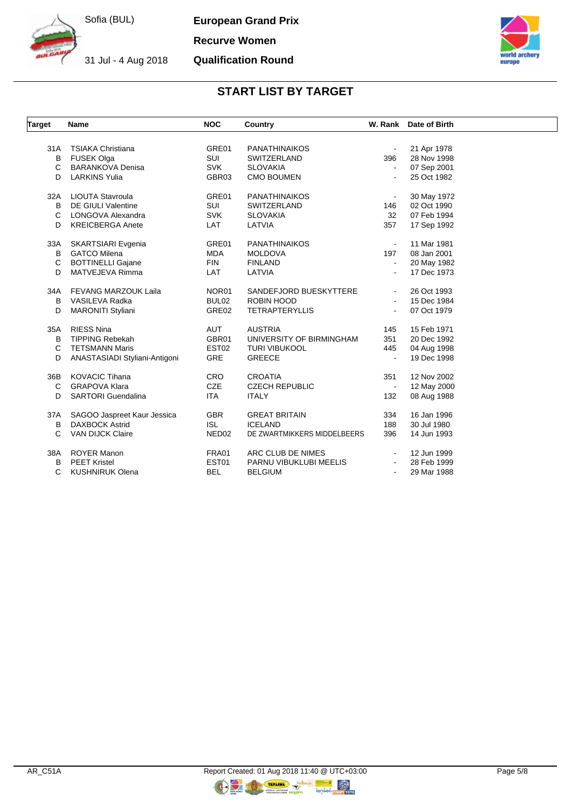31 Jul - 4 Aug 2018

**European Grand Prix**

**Recurve Women**

**Qualification Round**



## **START LIST BY TARGET**

| Target | <b>Name</b>                   | <b>NOC</b>        | Country                     |                | W. Rank Date of Birth |
|--------|-------------------------------|-------------------|-----------------------------|----------------|-----------------------|
|        |                               |                   |                             |                |                       |
| 31A    | <b>TSIAKA Christiana</b>      | GRE01             | <b>PANATHINAIKOS</b>        | $\blacksquare$ | 21 Apr 1978           |
| B      | <b>FUSEK Olga</b>             | SUI               | <b>SWITZERLAND</b>          | 396            | 28 Nov 1998           |
| C      | <b>BARANKOVA Denisa</b>       | <b>SVK</b>        | <b>SLOVAKIA</b>             |                | 07 Sep 2001           |
| D      | <b>LARKINS Yulia</b>          | GBR03             | <b>CMO BOUMEN</b>           |                | 25 Oct 1982           |
| 32A    | LIOUTA Stavroula              | GRE01             | <b>PANATHINAIKOS</b>        | $\blacksquare$ | 30 May 1972           |
| B      | <b>DE GIULI Valentine</b>     | SUI               | SWITZERLAND                 | 146            | 02 Oct 1990           |
| C      | LONGOVA Alexandra             | <b>SVK</b>        | <b>SLOVAKIA</b>             | 32             | 07 Feb 1994           |
| D      | <b>KREICBERGA Anete</b>       | <b>LAT</b>        | LATVIA                      | 357            | 17 Sep 1992           |
| 33A    | SKARTSIARI Evgenia            | GRE01             | <b>PANATHINAIKOS</b>        | $\sim$         | 11 Mar 1981           |
| B      | <b>GATCO Milena</b>           | <b>MDA</b>        | <b>MOLDOVA</b>              | 197            | 08 Jan 2001           |
| С      | <b>BOTTINELLI Gajane</b>      | <b>FIN</b>        | <b>FINLAND</b>              | $\blacksquare$ | 20 May 1982           |
| D      | MATVEJEVA Rimma               | <b>LAT</b>        | LATVIA                      |                | 17 Dec 1973           |
| 34A    | <b>FEVANG MARZOUK Laila</b>   | NOR01             | SANDEFJORD BUESKYTTERE      |                | 26 Oct 1993           |
| B      | VASILEVA Radka                | BUL02             | ROBIN HOOD                  |                | 15 Dec 1984           |
| D      | <b>MARONITI Styliani</b>      | GRE02             | <b>TETRAPTERYLLIS</b>       |                | 07 Oct 1979           |
| 35A    | <b>RIESS Nina</b>             | AUT               | <b>AUSTRIA</b>              | 145            | 15 Feb 1971           |
| B      | <b>TIPPING Rebekah</b>        | GBR01             | UNIVERSITY OF BIRMINGHAM    | 351            | 20 Dec 1992           |
| C      | <b>TETSMANN Maris</b>         | EST <sub>02</sub> | <b>TURI VIBUKOOL</b>        | 445            | 04 Aug 1998           |
| D      | ANASTASIADI Styliani-Antigoni | <b>GRE</b>        | <b>GREECE</b>               |                | 19 Dec 1998           |
| 36B    | <b>KOVACIC Tihana</b>         | <b>CRO</b>        | <b>CROATIA</b>              | 351            | 12 Nov 2002           |
| C      | <b>GRAPOVA Klara</b>          | CZE               | <b>CZECH REPUBLIC</b>       | $\bullet$      | 12 May 2000           |
| D      | <b>SARTORI</b> Guendalina     | ITA               | <b>ITALY</b>                | 132            | 08 Aug 1988           |
|        |                               |                   |                             |                |                       |
| 37A    | SAGOO Jaspreet Kaur Jessica   | <b>GBR</b>        | <b>GREAT BRITAIN</b>        | 334            | 16 Jan 1996           |
| B      | <b>DAXBOCK Astrid</b>         | <b>ISL</b>        | <b>ICELAND</b>              | 188            | 30 Jul 1980           |
| C      | <b>VAN DIJCK Claire</b>       | NED <sub>02</sub> | DE ZWARTMIKKERS MIDDELBEERS | 396            | 14 Jun 1993           |
| 38A    | <b>ROYER Manon</b>            | FRA01             | ARC CLUB DE NIMES           |                | 12 Jun 1999           |
| B      | <b>PEET Kristel</b>           | EST01             | PARNU VIBUKLUBI MEELIS      |                | 28 Feb 1999           |
| C      | <b>KUSHNIRUK Olena</b>        | <b>BEL</b>        | <b>BELGIUM</b>              |                | 29 Mar 1988           |

 $\circledR$ <sub>noPT roro</sub>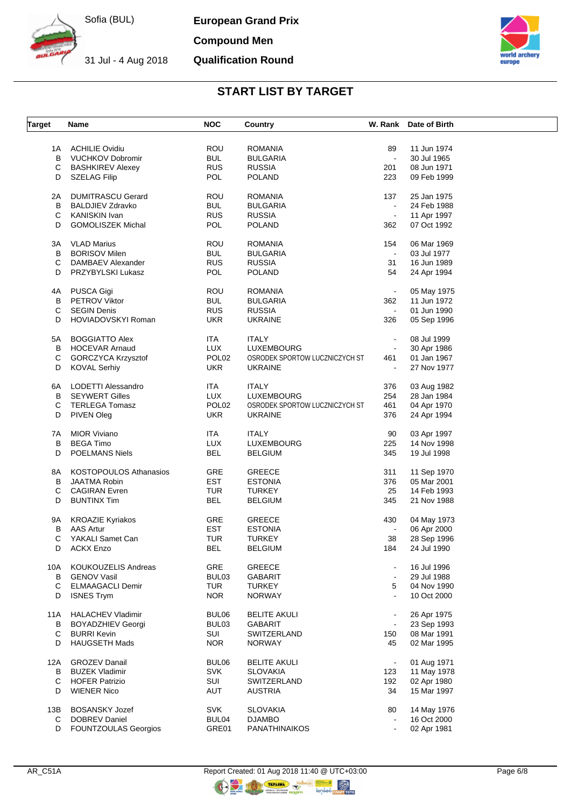31 Jul - 4 Aug 2018

**European Grand Prix**

**Compound Men**

## **Qualification Round**



# **START LIST BY TARGET**

| <b>Target</b> | Name                          | <b>NOC</b>        | Country                        |                | W. Rank Date of Birth |
|---------------|-------------------------------|-------------------|--------------------------------|----------------|-----------------------|
|               |                               |                   |                                |                |                       |
| 1A            | <b>ACHILIE Ovidiu</b>         | <b>ROU</b>        | <b>ROMANIA</b>                 | 89             | 11 Jun 1974           |
| B             | <b>VUCHKOV Dobromir</b>       | <b>BUL</b>        | <b>BULGARIA</b>                | $\sim$         | 30 Jul 1965           |
| C             | <b>BASHKIREV Alexey</b>       | <b>RUS</b>        | <b>RUSSIA</b>                  | 201            | 08 Jun 1971           |
| D             | <b>SZELAG Filip</b>           | POL               | <b>POLAND</b>                  | 223            | 09 Feb 1999           |
|               |                               |                   |                                |                |                       |
| 2A            | <b>DUMITRASCU Gerard</b>      | ROU               | <b>ROMANIA</b>                 | 137            | 25 Jan 1975           |
| В             | <b>BALDJIEV Zdravko</b>       | <b>BUL</b>        | <b>BULGARIA</b>                |                | 24 Feb 1988           |
| C             | <b>KANISKIN Ivan</b>          | <b>RUS</b>        | <b>RUSSIA</b>                  | $\blacksquare$ | 11 Apr 1997           |
| D             | <b>GOMOLISZEK Michal</b>      | POL               | <b>POLAND</b>                  | 362            | 07 Oct 1992           |
|               |                               |                   |                                |                |                       |
| ЗA            | <b>VLAD Marius</b>            | <b>ROU</b>        | <b>ROMANIA</b>                 | 154            | 06 Mar 1969           |
| B             | <b>BORISOV Milen</b>          | <b>BUL</b>        | <b>BULGARIA</b>                | $\mathbf{v}$   | 03 Jul 1977           |
| C             | DAMBAEV Alexander             | <b>RUS</b>        | <b>RUSSIA</b>                  | 31             | 16 Jun 1989           |
| D             | PRZYBYLSKI Lukasz             | POL               | <b>POLAND</b>                  | 54             | 24 Apr 1994           |
|               |                               |                   |                                |                |                       |
| 4Α            | PUSCA Gigi                    | ROU               | <b>ROMANIA</b>                 |                | 05 May 1975           |
| В             | <b>PETROV Viktor</b>          | <b>BUL</b>        | <b>BULGARIA</b>                | 362            | 11 Jun 1972           |
| С             | <b>SEGIN Denis</b>            | <b>RUS</b>        | <b>RUSSIA</b>                  | $\blacksquare$ | 01 Jun 1990           |
| D             | HOVIADOVSKYI Roman            | <b>UKR</b>        | <b>UKRAINE</b>                 | 326            | 05 Sep 1996           |
|               |                               |                   |                                |                |                       |
| 5A            | <b>BOGGIATTO Alex</b>         | ITA.              | ITALY                          | $\blacksquare$ | 08 Jul 1999           |
| в             | <b>HOCEVAR Arnaud</b>         | <b>LUX</b>        | LUXEMBOURG                     | $\blacksquare$ | 30 Apr 1986           |
| C             | GORCZYCA Krzysztof            | POL <sub>02</sub> | OSRODEK SPORTOW LUCZNICZYCH ST | 461            | 01 Jan 1967           |
| D             | <b>KOVAL Serhiy</b>           | <b>UKR</b>        | <b>UKRAINE</b>                 | $\blacksquare$ | 27 Nov 1977           |
|               |                               |                   |                                |                |                       |
| 6A            | LODETTI Alessandro            | ITA.              | <b>ITALY</b>                   | 376            | 03 Aug 1982           |
| В             | <b>SEYWERT Gilles</b>         | <b>LUX</b>        | LUXEMBOURG                     | 254            | 28 Jan 1984           |
| С             | <b>TERLEGA Tomasz</b>         | POL <sub>02</sub> | OSRODEK SPORTOW LUCZNICZYCH ST | 461            | 04 Apr 1970           |
| D             | PIVEN Oleg                    | UKR.              | <b>UKRAINE</b>                 | 376            | 24 Apr 1994           |
|               |                               |                   |                                |                |                       |
| 7A            | <b>MIOR Viviano</b>           | ITA.              | ITALY                          | 90             | 03 Apr 1997           |
| в             | <b>BEGA Timo</b>              | <b>LUX</b>        | LUXEMBOURG                     | 225            | 14 Nov 1998           |
| D             | <b>POELMANS Niels</b>         | <b>BEL</b>        | <b>BELGIUM</b>                 | 345            | 19 Jul 1998           |
|               |                               |                   |                                |                |                       |
| 8A            | <b>KOSTOPOULOS Athanasios</b> | GRE               | <b>GREECE</b>                  | 311            | 11 Sep 1970           |
| B             | <b>JAATMA Robin</b>           | <b>EST</b>        | <b>ESTONIA</b>                 | 376            | 05 Mar 2001           |
| С             | <b>CAGIRAN Evren</b>          | <b>TUR</b>        | <b>TURKEY</b>                  | 25             | 14 Feb 1993           |
| D             | <b>BUNTINX Tim</b>            | <b>BEL</b>        | <b>BELGIUM</b>                 | 345            | 21 Nov 1988           |
|               |                               |                   |                                |                |                       |
| 9A            | <b>KROAZIE Kyriakos</b>       | <b>GRE</b>        | <b>GREECE</b>                  | 430            | 04 May 1973           |
| В             | <b>AAS Artur</b>              | EST               | <b>ESTONIA</b>                 | $\blacksquare$ | 06 Apr 2000           |
| С             | YAKALI Samet Can              | TUR               | TURKEY                         | 38             | 28 Sep 1996           |
| D             | ACKX Enzo                     | <b>BEL</b>        | <b>BELGIUM</b>                 | 184            | 24 Jul 1990           |
|               |                               |                   |                                |                |                       |
| 10A           | KOUKOUZELIS Andreas           | GRE               | GREECE                         |                | 16 Jul 1996           |
| В             | <b>GENOV Vasil</b>            | BUL03             | <b>GABARIT</b>                 |                | 29 Jul 1988           |
| C             | <b>ELMAAGACLI Demir</b>       | <b>TUR</b>        | <b>TURKEY</b>                  | 5              | 04 Nov 1990           |
| D             | <b>ISNES Trym</b>             | <b>NOR</b>        | <b>NORWAY</b>                  |                | 10 Oct 2000           |
|               |                               |                   |                                |                |                       |
| 11A           | <b>HALACHEV Vladimir</b>      | BUL06             | <b>BELITE AKULI</b>            |                | 26 Apr 1975           |
| В             | <b>BOYADZHIEV Georgi</b>      | BUL03             | <b>GABARIT</b>                 |                | 23 Sep 1993           |
| C             | <b>BURRI Kevin</b>            | <b>SUI</b>        | SWITZERLAND                    | 150            | 08 Mar 1991           |
| D             | <b>HAUGSETH Mads</b>          | <b>NOR</b>        | <b>NORWAY</b>                  | 45             | 02 Mar 1995           |
|               |                               |                   |                                |                |                       |
| 12A           | <b>GROZEV Danail</b>          | BUL06             | <b>BELITE AKULI</b>            | $\blacksquare$ | 01 Aug 1971           |
| В             | <b>BUZEK Vladimir</b>         | <b>SVK</b>        | <b>SLOVAKIA</b>                | 123            | 11 May 1978           |
| С             | <b>HOFER Patrizio</b>         | SUI               | SWITZERLAND                    | 192            | 02 Apr 1980           |
| D             | <b>WIENER Nico</b>            | AUT               | <b>AUSTRIA</b>                 | 34             | 15 Mar 1997           |
|               |                               |                   |                                |                |                       |
| 13B           | <b>BOSANSKY Jozef</b>         | <b>SVK</b>        | <b>SLOVAKIA</b>                | 80             | 14 May 1976           |
| C             | <b>DOBREV Daniel</b>          | BUL04             | <b>DJAMBO</b>                  |                | 16 Oct 2000           |
| D             | <b>FOUNTZOULAS Georgios</b>   | GRE01             | <b>PANATHINAIKOS</b>           | $\blacksquare$ | 02 Apr 1981           |
|               |                               |                   |                                |                |                       |

**ORIGINAL** 

 $\bigcirc$   $\bigcirc$   $\bigcirc$   $\bigcirc$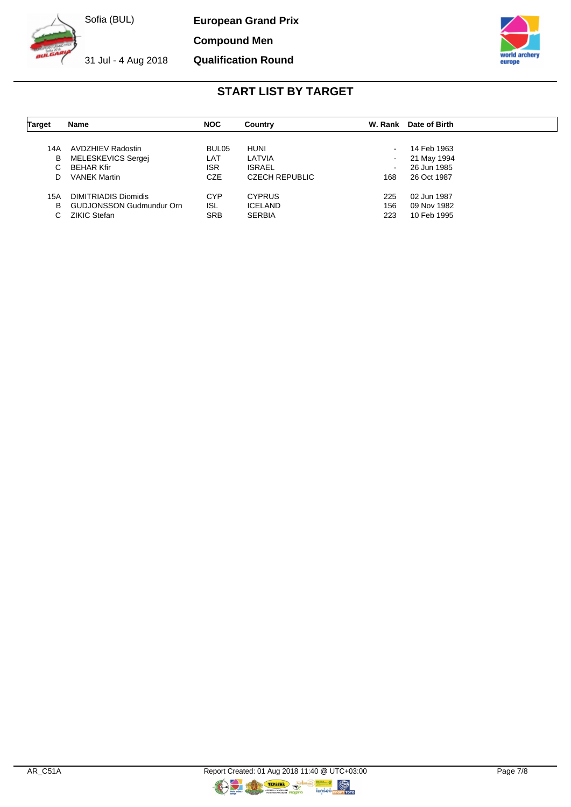**European Grand Prix**

**Compound Men**

31 Jul - 4 Aug 2018

**Qualification Round**



## **START LIST BY TARGET**

| <b>Target</b> | <b>Name</b>                     | <b>NOC</b> | Country               | W. Rank | Date of Birth |  |
|---------------|---------------------------------|------------|-----------------------|---------|---------------|--|
|               |                                 |            |                       |         |               |  |
| 14A           | AVDZHIEV Radostin               | BUL05      | <b>HUNI</b>           | $\sim$  | 14 Feb 1963   |  |
| В             | MELESKEVICS Sergej              | LAT        | LATVIA                | $\sim$  | 21 May 1994   |  |
|               | <b>BEHAR Kfir</b>               | <b>ISR</b> | <b>ISRAEL</b>         | $\sim$  | 26 Jun 1985   |  |
| D             | <b>VANEK Martin</b>             | <b>CZE</b> | <b>CZECH REPUBLIC</b> | 168     | 26 Oct 1987   |  |
| 15A           | <b>DIMITRIADIS Diomidis</b>     | <b>CYP</b> | <b>CYPRUS</b>         | 225     | 02 Jun 1987   |  |
| в             | <b>GUDJONSSON Gudmundur Orn</b> | <b>ISL</b> | <b>ICELAND</b>        | 156     | 09 Nov 1982   |  |
|               | <b>ZIKIC Stefan</b>             | <b>SRB</b> | <b>SERBIA</b>         | 223     | 10 Feb 1995   |  |

**ORIGINAL**